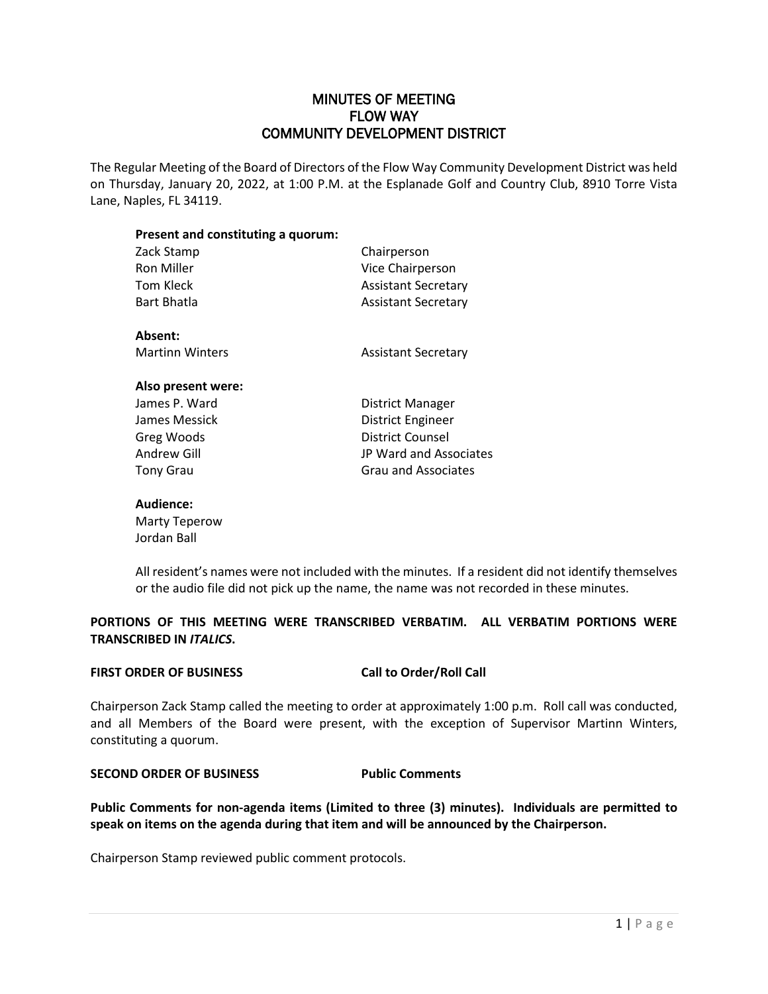## MINUTES OF MEETING FLOW WAY COMMUNITY DEVELOPMENT DISTRICT

The Regular Meeting of the Board of Directors of the Flow Way Community Development District was held on Thursday, January 20, 2022, at 1:00 P.M. at the Esplanade Golf and Country Club, 8910 Torre Vista Lane, Naples, FL 34119.

# **Present and constituting a quorum:** Zack Stamp Chairperson Ron Miller **Vice Chairperson** Tom Kleck **Assistant Secretary** Bart Bhatla **Assistant Secretary Absent:** Martinn Winters **Assistant Secretary Also present were:** James P. Ward **District Manager** James Messick **District Engineer** Greg Woods **District Counsel** Andrew Gill **Andrew Gill** JP Ward and Associates Tony Grau **Grau and Associates**

### **Audience:**

Marty Teperow Jordan Ball

All resident's names were not included with the minutes. If a resident did not identify themselves or the audio file did not pick up the name, the name was not recorded in these minutes.

## **PORTIONS OF THIS MEETING WERE TRANSCRIBED VERBATIM. ALL VERBATIM PORTIONS WERE TRANSCRIBED IN** *ITALICS***.**

## **FIRST ORDER OF BUSINESS Call to Order/Roll Call**

Chairperson Zack Stamp called the meeting to order at approximately 1:00 p.m. Roll call was conducted, and all Members of the Board were present, with the exception of Supervisor Martinn Winters, constituting a quorum.

## **SECOND ORDER OF BUSINESS Public Comments**

**Public Comments for non-agenda items (Limited to three (3) minutes). Individuals are permitted to speak on items on the agenda during that item and will be announced by the Chairperson.**

Chairperson Stamp reviewed public comment protocols.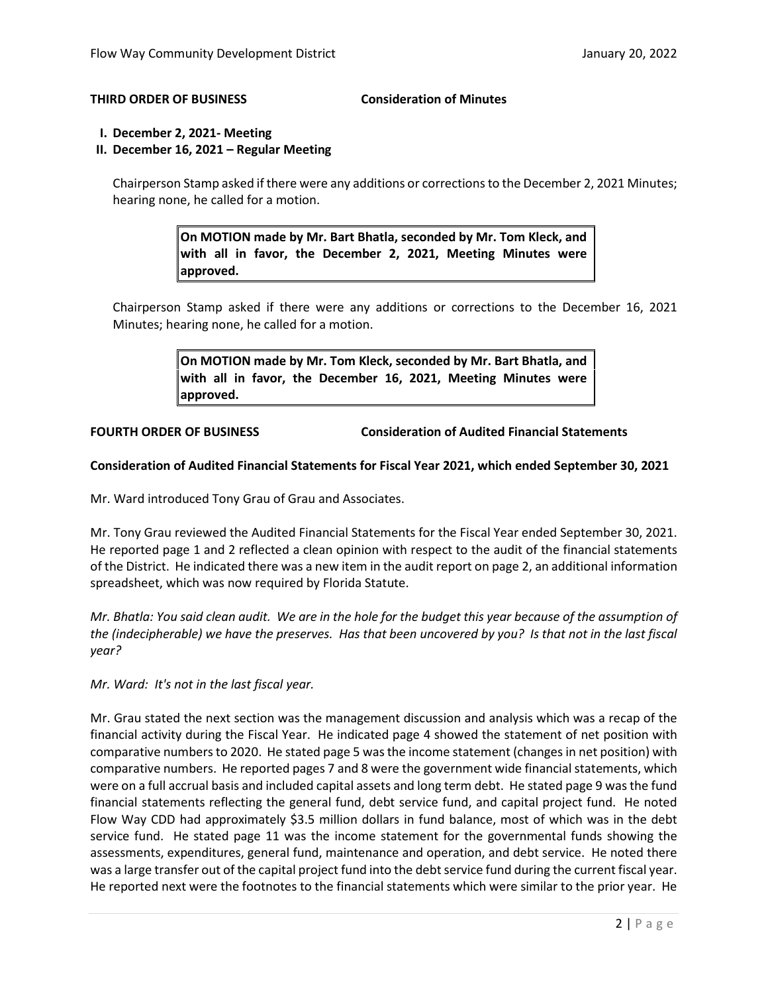#### **THIRD ORDER OF BUSINESS Consideration of Minutes**

- **I. December 2, 2021- Meeting**
- **II. December 16, 2021 – Regular Meeting**

Chairperson Stamp asked if there were any additions or corrections to the December 2, 2021 Minutes; hearing none, he called for a motion.

> **On MOTION made by Mr. Bart Bhatla, seconded by Mr. Tom Kleck, and with all in favor, the December 2, 2021, Meeting Minutes were approved.**

Chairperson Stamp asked if there were any additions or corrections to the December 16, 2021 Minutes; hearing none, he called for a motion.

> **On MOTION made by Mr. Tom Kleck, seconded by Mr. Bart Bhatla, and with all in favor, the December 16, 2021, Meeting Minutes were approved.**

**FOURTH ORDER OF BUSINESS Consideration of Audited Financial Statements**

#### **Consideration of Audited Financial Statements for Fiscal Year 2021, which ended September 30, 2021**

Mr. Ward introduced Tony Grau of Grau and Associates.

Mr. Tony Grau reviewed the Audited Financial Statements for the Fiscal Year ended September 30, 2021. He reported page 1 and 2 reflected a clean opinion with respect to the audit of the financial statements of the District. He indicated there was a new item in the audit report on page 2, an additional information spreadsheet, which was now required by Florida Statute.

*Mr. Bhatla: You said clean audit. We are in the hole for the budget this year because of the assumption of the (indecipherable) we have the preserves. Has that been uncovered by you? Is that not in the last fiscal year?*

*Mr. Ward: It's not in the last fiscal year.* 

Mr. Grau stated the next section was the management discussion and analysis which was a recap of the financial activity during the Fiscal Year. He indicated page 4 showed the statement of net position with comparative numbers to 2020. He stated page 5 was the income statement (changes in net position) with comparative numbers. He reported pages 7 and 8 were the government wide financial statements, which were on a full accrual basis and included capital assets and long term debt. He stated page 9 wasthe fund financial statements reflecting the general fund, debt service fund, and capital project fund. He noted Flow Way CDD had approximately \$3.5 million dollars in fund balance, most of which was in the debt service fund. He stated page 11 was the income statement for the governmental funds showing the assessments, expenditures, general fund, maintenance and operation, and debt service. He noted there was a large transfer out of the capital project fund into the debt service fund during the current fiscal year. He reported next were the footnotes to the financial statements which were similar to the prior year. He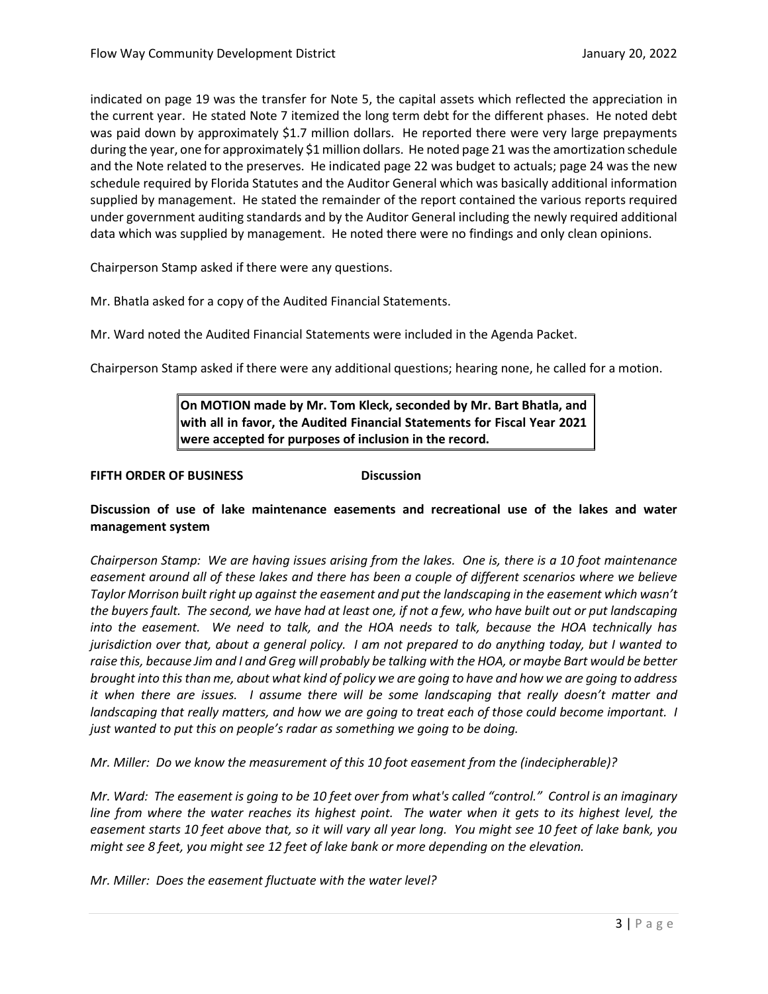indicated on page 19 was the transfer for Note 5, the capital assets which reflected the appreciation in the current year. He stated Note 7 itemized the long term debt for the different phases. He noted debt was paid down by approximately \$1.7 million dollars. He reported there were very large prepayments during the year, one for approximately \$1 million dollars. He noted page 21 was the amortization schedule and the Note related to the preserves. He indicated page 22 was budget to actuals; page 24 was the new schedule required by Florida Statutes and the Auditor General which was basically additional information supplied by management. He stated the remainder of the report contained the various reports required under government auditing standards and by the Auditor General including the newly required additional data which was supplied by management. He noted there were no findings and only clean opinions.

Chairperson Stamp asked if there were any questions.

Mr. Bhatla asked for a copy of the Audited Financial Statements.

Mr. Ward noted the Audited Financial Statements were included in the Agenda Packet.

Chairperson Stamp asked if there were any additional questions; hearing none, he called for a motion.

**On MOTION made by Mr. Tom Kleck, seconded by Mr. Bart Bhatla, and with all in favor, the Audited Financial Statements for Fiscal Year 2021 were accepted for purposes of inclusion in the record.**

## **FIFTH ORDER OF BUSINESS Discussion**

## **Discussion of use of lake maintenance easements and recreational use of the lakes and water management system**

*Chairperson Stamp: We are having issues arising from the lakes. One is, there is a 10 foot maintenance easement around all of these lakes and there has been a couple of different scenarios where we believe Taylor Morrison built right up against the easement and put the landscaping in the easement which wasn't the buyers fault. The second, we have had at least one, if not a few, who have built out or put landscaping into the easement. We need to talk, and the HOA needs to talk, because the HOA technically has jurisdiction over that, about a general policy. I am not prepared to do anything today, but I wanted to raise this, because Jim and I and Greg will probably be talking with the HOA, or maybe Bart would be better brought into this than me, about what kind of policy we are going to have and how we are going to address it when there are issues. I assume there will be some landscaping that really doesn't matter and landscaping that really matters, and how we are going to treat each of those could become important. I just wanted to put this on people's radar as something we going to be doing.* 

*Mr. Miller: Do we know the measurement of this 10 foot easement from the (indecipherable)?*

*Mr. Ward: The easement is going to be 10 feet over from what's called "control." Control is an imaginary line from where the water reaches its highest point. The water when it gets to its highest level, the easement starts 10 feet above that, so it will vary all year long. You might see 10 feet of lake bank, you might see 8 feet, you might see 12 feet of lake bank or more depending on the elevation.* 

*Mr. Miller: Does the easement fluctuate with the water level?*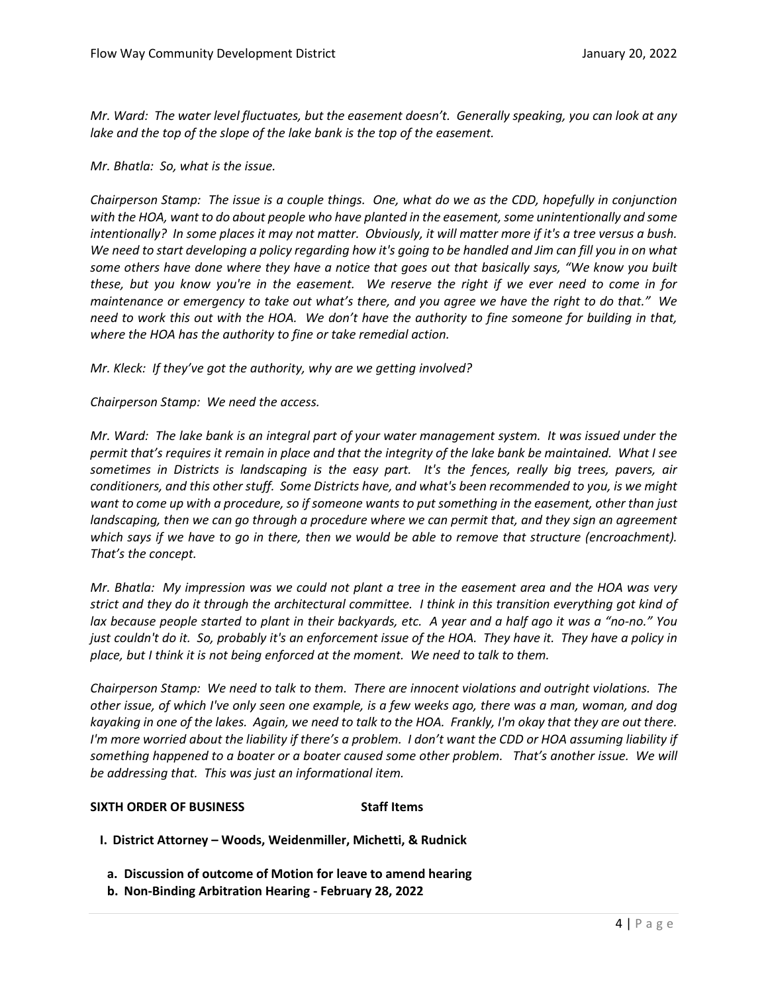*Mr. Ward: The water level fluctuates, but the easement doesn't. Generally speaking, you can look at any lake and the top of the slope of the lake bank is the top of the easement.* 

#### *Mr. Bhatla: So, what is the issue.*

*Chairperson Stamp: The issue is a couple things. One, what do we as the CDD, hopefully in conjunction with the HOA, want to do about people who have planted in the easement, some unintentionally and some intentionally? In some places it may not matter. Obviously, it will matter more if it's a tree versus a bush. We need to start developing a policy regarding how it's going to be handled and Jim can fill you in on what some others have done where they have a notice that goes out that basically says, "We know you built these, but you know you're in the easement. We reserve the right if we ever need to come in for maintenance or emergency to take out what's there, and you agree we have the right to do that." We need to work this out with the HOA. We don't have the authority to fine someone for building in that, where the HOA has the authority to fine or take remedial action.* 

*Mr. Kleck: If they've got the authority, why are we getting involved?* 

*Chairperson Stamp: We need the access.*

*Mr. Ward: The lake bank is an integral part of your water management system. It was issued under the permit that's requires it remain in place and that the integrity of the lake bank be maintained. What I see sometimes in Districts is landscaping is the easy part. It's the fences, really big trees, pavers, air conditioners, and this other stuff. Some Districts have, and what's been recommended to you, is we might want to come up with a procedure, so if someone wants to put something in the easement, other than just*  landscaping, then we can go through a procedure where we can permit that, and they sign an agreement *which says if we have to go in there, then we would be able to remove that structure (encroachment). That's the concept.*

*Mr. Bhatla: My impression was we could not plant a tree in the easement area and the HOA was very strict and they do it through the architectural committee. I think in this transition everything got kind of lax because people started to plant in their backyards, etc. A year and a half ago it was a "no-no." You just couldn't do it. So, probably it's an enforcement issue of the HOA. They have it. They have a policy in place, but I think it is not being enforced at the moment. We need to talk to them.*

*Chairperson Stamp: We need to talk to them. There are innocent violations and outright violations. The other issue, of which I've only seen one example, is a few weeks ago, there was a man, woman, and dog kayaking in one of the lakes. Again, we need to talk to the HOA. Frankly, I'm okay that they are out there. I'm more worried about the liability if there's a problem. I don't want the CDD or HOA assuming liability if something happened to a boater or a boater caused some other problem. That's another issue. We will be addressing that. This was just an informational item.* 

#### **SIXTH ORDER OF BUSINESS Staff Items**

**I. District Attorney – Woods, Weidenmiller, Michetti, & Rudnick**

- **a. Discussion of outcome of Motion for leave to amend hearing**
- **b. Non-Binding Arbitration Hearing - February 28, 2022**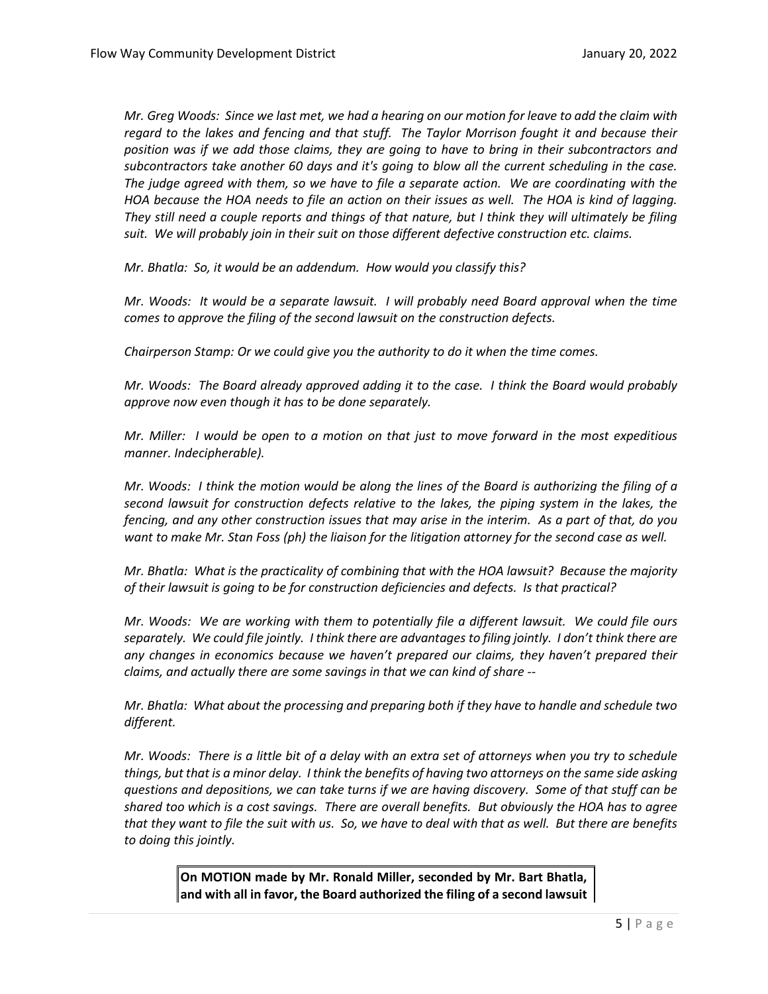*Mr. Greg Woods: Since we last met, we had a hearing on our motion for leave to add the claim with regard to the lakes and fencing and that stuff. The Taylor Morrison fought it and because their position was if we add those claims, they are going to have to bring in their subcontractors and subcontractors take another 60 days and it's going to blow all the current scheduling in the case. The judge agreed with them, so we have to file a separate action. We are coordinating with the HOA because the HOA needs to file an action on their issues as well. The HOA is kind of lagging. They still need a couple reports and things of that nature, but I think they will ultimately be filing suit. We will probably join in their suit on those different defective construction etc. claims.* 

*Mr. Bhatla: So, it would be an addendum. How would you classify this?*

*Mr. Woods: It would be a separate lawsuit. I will probably need Board approval when the time comes to approve the filing of the second lawsuit on the construction defects.* 

*Chairperson Stamp: Or we could give you the authority to do it when the time comes.* 

*Mr. Woods: The Board already approved adding it to the case. I think the Board would probably approve now even though it has to be done separately.* 

*Mr. Miller: I would be open to a motion on that just to move forward in the most expeditious manner. Indecipherable).*

*Mr. Woods: I think the motion would be along the lines of the Board is authorizing the filing of a second lawsuit for construction defects relative to the lakes, the piping system in the lakes, the fencing, and any other construction issues that may arise in the interim. As a part of that, do you want to make Mr. Stan Foss (ph) the liaison for the litigation attorney for the second case as well.* 

*Mr. Bhatla: What is the practicality of combining that with the HOA lawsuit? Because the majority of their lawsuit is going to be for construction deficiencies and defects. Is that practical?*

*Mr. Woods: We are working with them to potentially file a different lawsuit. We could file ours separately. We could file jointly. I think there are advantages to filing jointly. I don't think there are any changes in economics because we haven't prepared our claims, they haven't prepared their claims, and actually there are some savings in that we can kind of share --*

*Mr. Bhatla: What about the processing and preparing both if they have to handle and schedule two different.*

*Mr. Woods: There is a little bit of a delay with an extra set of attorneys when you try to schedule things, but that is a minor delay. I think the benefits of having two attorneys on the same side asking questions and depositions, we can take turns if we are having discovery. Some of that stuff can be shared too which is a cost savings. There are overall benefits. But obviously the HOA has to agree that they want to file the suit with us. So, we have to deal with that as well. But there are benefits to doing this jointly.* 

**On MOTION made by Mr. Ronald Miller, seconded by Mr. Bart Bhatla, and with all in favor, the Board authorized the filing of a second lawsuit**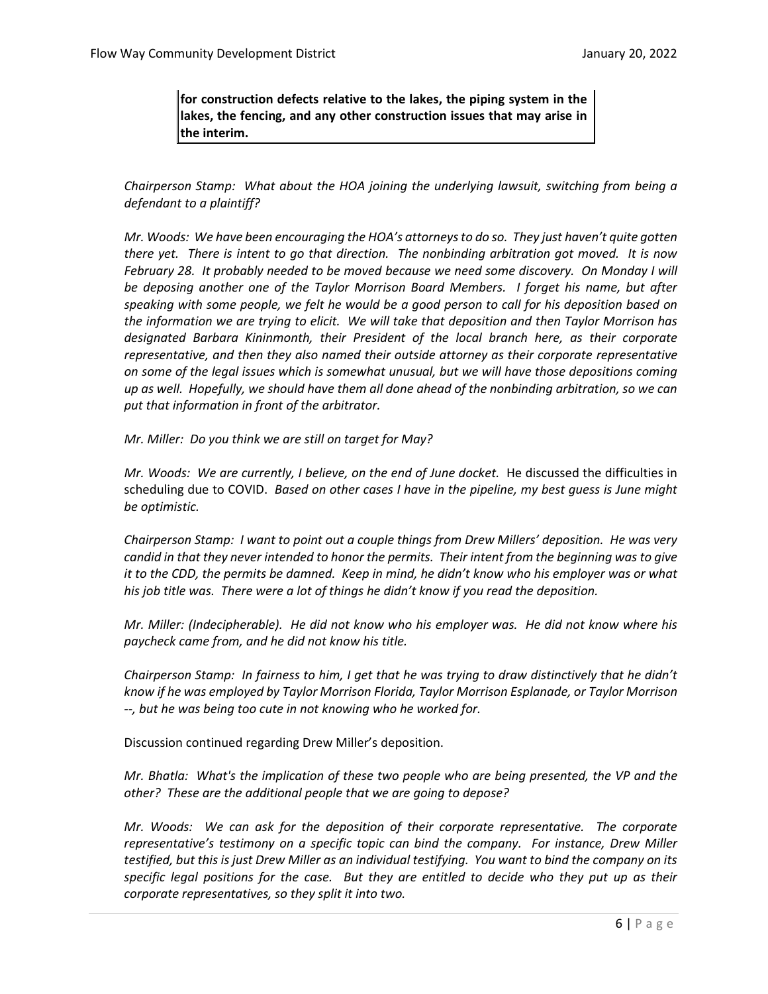**for construction defects relative to the lakes, the piping system in the lakes, the fencing, and any other construction issues that may arise in the interim.**

*Chairperson Stamp: What about the HOA joining the underlying lawsuit, switching from being a defendant to a plaintiff?* 

*Mr. Woods: We have been encouraging the HOA's attorneys to do so. They just haven't quite gotten there yet. There is intent to go that direction. The nonbinding arbitration got moved. It is now February 28. It probably needed to be moved because we need some discovery. On Monday I will be deposing another one of the Taylor Morrison Board Members. I forget his name, but after speaking with some people, we felt he would be a good person to call for his deposition based on the information we are trying to elicit. We will take that deposition and then Taylor Morrison has designated Barbara Kininmonth, their President of the local branch here, as their corporate representative, and then they also named their outside attorney as their corporate representative on some of the legal issues which is somewhat unusual, but we will have those depositions coming up as well. Hopefully, we should have them all done ahead of the nonbinding arbitration, so we can put that information in front of the arbitrator.* 

*Mr. Miller: Do you think we are still on target for May?*

*Mr. Woods: We are currently, I believe, on the end of June docket.* He discussed the difficulties in scheduling due to COVID. *Based on other cases I have in the pipeline, my best guess is June might be optimistic.* 

*Chairperson Stamp: I want to point out a couple things from Drew Millers' deposition. He was very candid in that they never intended to honor the permits. Their intent from the beginning was to give it to the CDD, the permits be damned. Keep in mind, he didn't know who his employer was or what his job title was. There were a lot of things he didn't know if you read the deposition.* 

*Mr. Miller: (Indecipherable). He did not know who his employer was. He did not know where his paycheck came from, and he did not know his title.* 

*Chairperson Stamp: In fairness to him, I get that he was trying to draw distinctively that he didn't know if he was employed by Taylor Morrison Florida, Taylor Morrison Esplanade, or Taylor Morrison --, but he was being too cute in not knowing who he worked for.* 

Discussion continued regarding Drew Miller's deposition.

*Mr. Bhatla: What's the implication of these two people who are being presented, the VP and the other? These are the additional people that we are going to depose?*

*Mr. Woods: We can ask for the deposition of their corporate representative. The corporate representative's testimony on a specific topic can bind the company. For instance, Drew Miller testified, but this is just Drew Miller as an individual testifying. You want to bind the company on its specific legal positions for the case. But they are entitled to decide who they put up as their corporate representatives, so they split it into two.*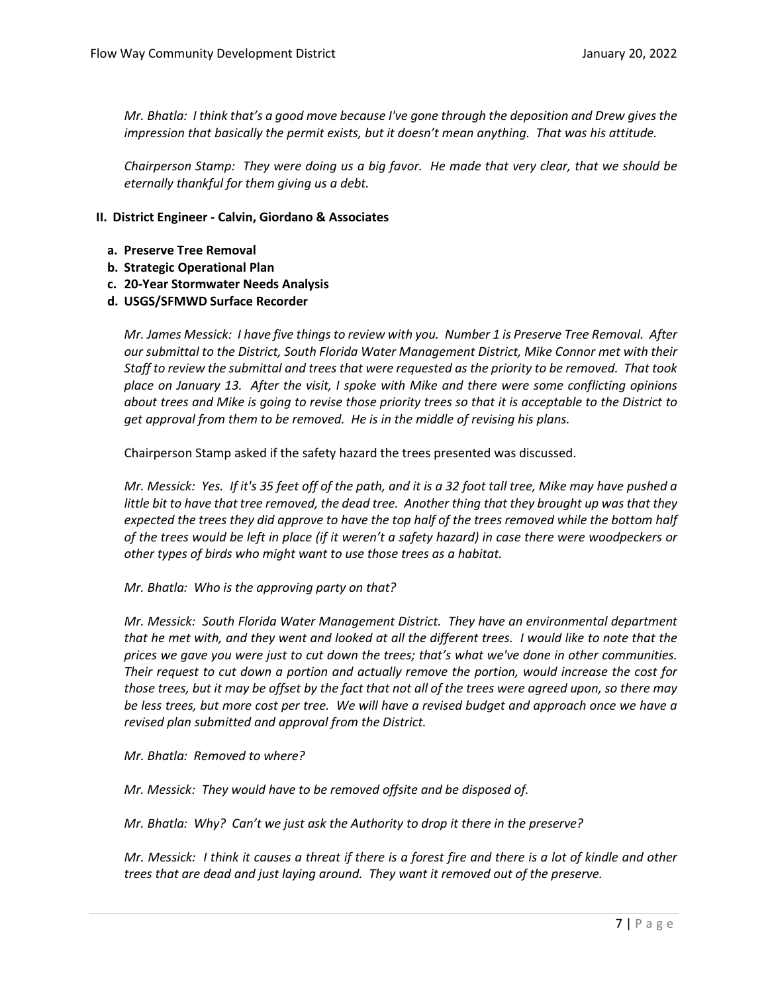*Mr. Bhatla: I think that's a good move because I've gone through the deposition and Drew gives the impression that basically the permit exists, but it doesn't mean anything. That was his attitude.* 

*Chairperson Stamp: They were doing us a big favor. He made that very clear, that we should be eternally thankful for them giving us a debt.* 

### **II. District Engineer - Calvin, Giordano & Associates**

- **a. Preserve Tree Removal**
- **b. Strategic Operational Plan**
- **c. 20-Year Stormwater Needs Analysis**
- **d. USGS/SFMWD Surface Recorder**

*Mr. James Messick: I have five things to review with you. Number 1 is Preserve Tree Removal. After our submittal to the District, South Florida Water Management District, Mike Connor met with their Staff to review the submittal and trees that were requested as the priority to be removed. That took place on January 13. After the visit, I spoke with Mike and there were some conflicting opinions about trees and Mike is going to revise those priority trees so that it is acceptable to the District to get approval from them to be removed. He is in the middle of revising his plans.* 

Chairperson Stamp asked if the safety hazard the trees presented was discussed.

*Mr. Messick: Yes. If it's 35 feet off of the path, and it is a 32 foot tall tree, Mike may have pushed a little bit to have that tree removed, the dead tree. Another thing that they brought up was that they expected the trees they did approve to have the top half of the trees removed while the bottom half of the trees would be left in place (if it weren't a safety hazard) in case there were woodpeckers or other types of birds who might want to use those trees as a habitat.* 

*Mr. Bhatla: Who is the approving party on that?* 

*Mr. Messick: South Florida Water Management District. They have an environmental department that he met with, and they went and looked at all the different trees. I would like to note that the prices we gave you were just to cut down the trees; that's what we've done in other communities. Their request to cut down a portion and actually remove the portion, would increase the cost for those trees, but it may be offset by the fact that not all of the trees were agreed upon, so there may be less trees, but more cost per tree. We will have a revised budget and approach once we have a revised plan submitted and approval from the District.*

*Mr. Bhatla: Removed to where?*

*Mr. Messick: They would have to be removed offsite and be disposed of.* 

*Mr. Bhatla: Why? Can't we just ask the Authority to drop it there in the preserve?*

*Mr. Messick: I think it causes a threat if there is a forest fire and there is a lot of kindle and other trees that are dead and just laying around. They want it removed out of the preserve.*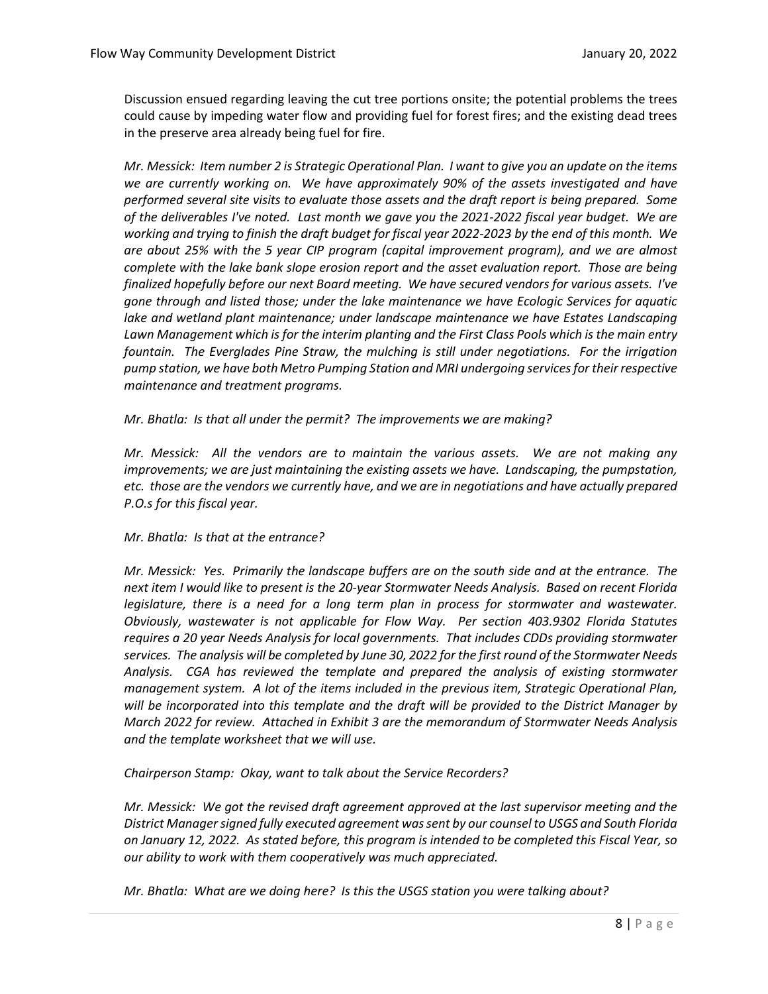Discussion ensued regarding leaving the cut tree portions onsite; the potential problems the trees could cause by impeding water flow and providing fuel for forest fires; and the existing dead trees in the preserve area already being fuel for fire.

*Mr. Messick: Item number 2 is Strategic Operational Plan. I want to give you an update on the items we are currently working on. We have approximately 90% of the assets investigated and have performed several site visits to evaluate those assets and the draft report is being prepared. Some of the deliverables I've noted. Last month we gave you the 2021-2022 fiscal year budget. We are working and trying to finish the draft budget for fiscal year 2022-2023 by the end of this month. We are about 25% with the 5 year CIP program (capital improvement program), and we are almost complete with the lake bank slope erosion report and the asset evaluation report. Those are being finalized hopefully before our next Board meeting. We have secured vendors for various assets. I've gone through and listed those; under the lake maintenance we have Ecologic Services for aquatic lake and wetland plant maintenance; under landscape maintenance we have Estates Landscaping Lawn Management which is for the interim planting and the First Class Pools which is the main entry fountain. The Everglades Pine Straw, the mulching is still under negotiations. For the irrigation pump station, we have both Metro Pumping Station and MRI undergoing services for their respective maintenance and treatment programs.* 

*Mr. Bhatla: Is that all under the permit? The improvements we are making?*

*Mr. Messick: All the vendors are to maintain the various assets. We are not making any improvements; we are just maintaining the existing assets we have. Landscaping, the pumpstation, etc. those are the vendors we currently have, and we are in negotiations and have actually prepared P.O.s for this fiscal year.* 

#### *Mr. Bhatla: Is that at the entrance?*

*Mr. Messick: Yes. Primarily the landscape buffers are on the south side and at the entrance. The next item I would like to present is the 20-year Stormwater Needs Analysis. Based on recent Florida legislature, there is a need for a long term plan in process for stormwater and wastewater. Obviously, wastewater is not applicable for Flow Way. Per section 403.9302 Florida Statutes requires a 20 year Needs Analysis for local governments. That includes CDDs providing stormwater services. The analysis will be completed by June 30, 2022 for the first round of the Stormwater Needs Analysis. CGA has reviewed the template and prepared the analysis of existing stormwater management system. A lot of the items included in the previous item, Strategic Operational Plan, will be incorporated into this template and the draft will be provided to the District Manager by March 2022 for review. Attached in Exhibit 3 are the memorandum of Stormwater Needs Analysis and the template worksheet that we will use.* 

*Chairperson Stamp: Okay, want to talk about the Service Recorders?*

*Mr. Messick: We got the revised draft agreement approved at the last supervisor meeting and the District Manager signed fully executed agreement was sent by our counsel to USGS and South Florida on January 12, 2022. As stated before, this program is intended to be completed this Fiscal Year, so our ability to work with them cooperatively was much appreciated.* 

*Mr. Bhatla: What are we doing here? Is this the USGS station you were talking about?*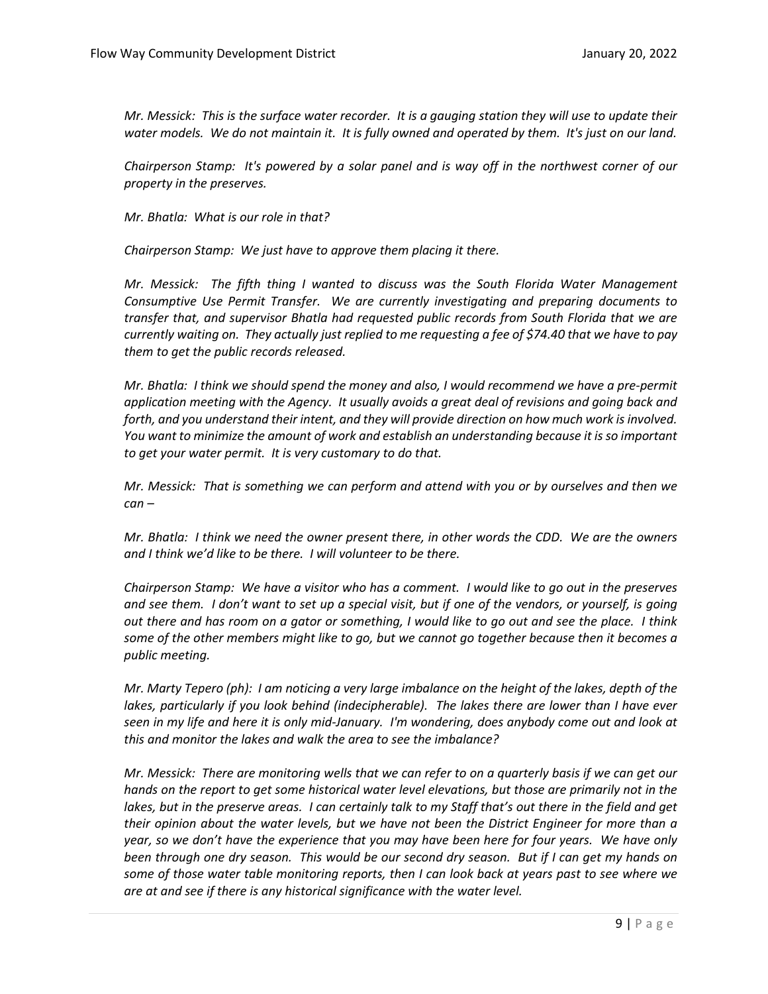*Mr. Messick: This is the surface water recorder. It is a gauging station they will use to update their water models. We do not maintain it. It is fully owned and operated by them. It's just on our land.* 

*Chairperson Stamp: It's powered by a solar panel and is way off in the northwest corner of our property in the preserves.* 

*Mr. Bhatla: What is our role in that?*

*Chairperson Stamp: We just have to approve them placing it there.* 

*Mr. Messick: The fifth thing I wanted to discuss was the South Florida Water Management Consumptive Use Permit Transfer. We are currently investigating and preparing documents to transfer that, and supervisor Bhatla had requested public records from South Florida that we are currently waiting on. They actually just replied to me requesting a fee of \$74.40 that we have to pay them to get the public records released.* 

*Mr. Bhatla: I think we should spend the money and also, I would recommend we have a pre-permit application meeting with the Agency. It usually avoids a great deal of revisions and going back and forth, and you understand their intent, and they will provide direction on how much work is involved. You want to minimize the amount of work and establish an understanding because it is so important to get your water permit. It is very customary to do that.* 

*Mr. Messick: That is something we can perform and attend with you or by ourselves and then we can –*

*Mr. Bhatla: I think we need the owner present there, in other words the CDD. We are the owners and I think we'd like to be there. I will volunteer to be there.* 

*Chairperson Stamp: We have a visitor who has a comment. I would like to go out in the preserves and see them. I don't want to set up a special visit, but if one of the vendors, or yourself, is going out there and has room on a gator or something, I would like to go out and see the place. I think some of the other members might like to go, but we cannot go together because then it becomes a public meeting.* 

*Mr. Marty Tepero (ph): I am noticing a very large imbalance on the height of the lakes, depth of the lakes, particularly if you look behind (indecipherable). The lakes there are lower than I have ever seen in my life and here it is only mid-January. I'm wondering, does anybody come out and look at this and monitor the lakes and walk the area to see the imbalance?* 

*Mr. Messick: There are monitoring wells that we can refer to on a quarterly basis if we can get our hands on the report to get some historical water level elevations, but those are primarily not in the lakes, but in the preserve areas. I can certainly talk to my Staff that's out there in the field and get their opinion about the water levels, but we have not been the District Engineer for more than a year, so we don't have the experience that you may have been here for four years. We have only been through one dry season. This would be our second dry season. But if I can get my hands on some of those water table monitoring reports, then I can look back at years past to see where we are at and see if there is any historical significance with the water level.*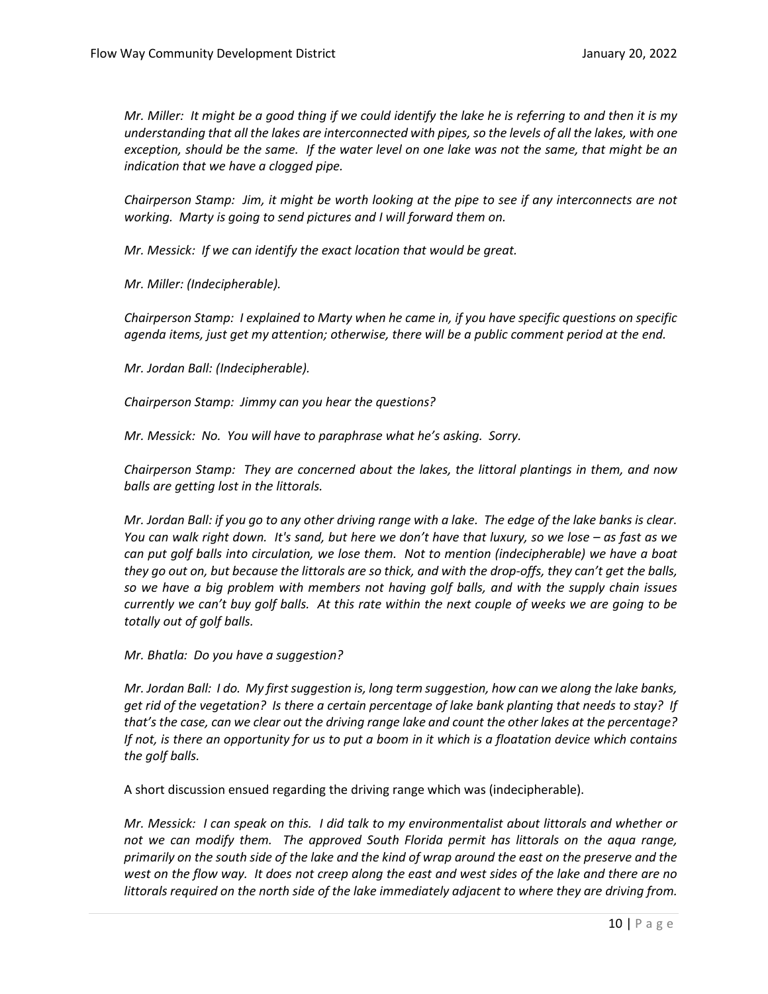*Mr. Miller: It might be a good thing if we could identify the lake he is referring to and then it is my understanding that all the lakes are interconnected with pipes, so the levels of all the lakes, with one exception, should be the same. If the water level on one lake was not the same, that might be an indication that we have a clogged pipe.* 

*Chairperson Stamp: Jim, it might be worth looking at the pipe to see if any interconnects are not working. Marty is going to send pictures and I will forward them on.* 

*Mr. Messick: If we can identify the exact location that would be great.* 

*Mr. Miller: (Indecipherable).* 

*Chairperson Stamp: I explained to Marty when he came in, if you have specific questions on specific agenda items, just get my attention; otherwise, there will be a public comment period at the end.* 

*Mr. Jordan Ball: (Indecipherable).* 

*Chairperson Stamp: Jimmy can you hear the questions?*

*Mr. Messick: No. You will have to paraphrase what he's asking. Sorry.*

*Chairperson Stamp: They are concerned about the lakes, the littoral plantings in them, and now balls are getting lost in the littorals.* 

*Mr. Jordan Ball: if you go to any other driving range with a lake. The edge of the lake banks is clear. You can walk right down. It's sand, but here we don't have that luxury, so we lose – as fast as we can put golf balls into circulation, we lose them. Not to mention (indecipherable) we have a boat they go out on, but because the littorals are so thick, and with the drop-offs, they can't get the balls, so we have a big problem with members not having golf balls, and with the supply chain issues currently we can't buy golf balls. At this rate within the next couple of weeks we are going to be totally out of golf balls.*

*Mr. Bhatla: Do you have a suggestion?*

*Mr. Jordan Ball: I do. My first suggestion is, long term suggestion, how can we along the lake banks, get rid of the vegetation? Is there a certain percentage of lake bank planting that needs to stay? If that's the case, can we clear out the driving range lake and count the other lakes at the percentage? If not, is there an opportunity for us to put a boom in it which is a floatation device which contains the golf balls.*

A short discussion ensued regarding the driving range which was (indecipherable).

*Mr. Messick: I can speak on this. I did talk to my environmentalist about littorals and whether or not we can modify them. The approved South Florida permit has littorals on the aqua range, primarily on the south side of the lake and the kind of wrap around the east on the preserve and the west on the flow way. It does not creep along the east and west sides of the lake and there are no littorals required on the north side of the lake immediately adjacent to where they are driving from.*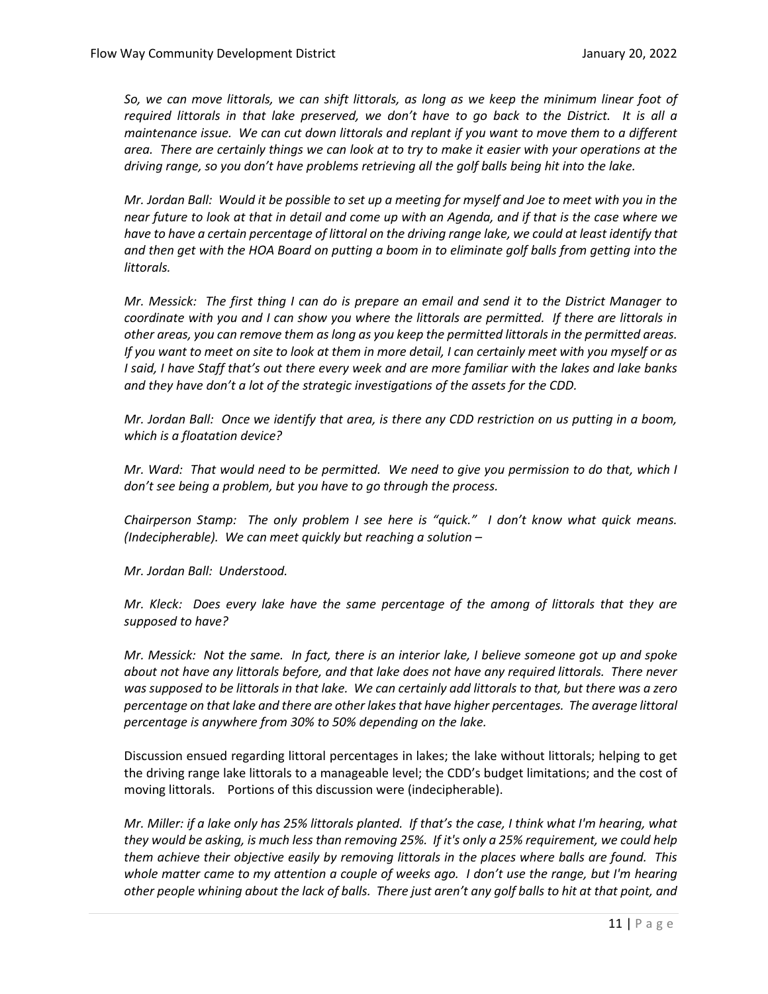*So, we can move littorals, we can shift littorals, as long as we keep the minimum linear foot of required littorals in that lake preserved, we don't have to go back to the District. It is all a maintenance issue. We can cut down littorals and replant if you want to move them to a different area. There are certainly things we can look at to try to make it easier with your operations at the driving range, so you don't have problems retrieving all the golf balls being hit into the lake.* 

*Mr. Jordan Ball: Would it be possible to set up a meeting for myself and Joe to meet with you in the near future to look at that in detail and come up with an Agenda, and if that is the case where we have to have a certain percentage of littoral on the driving range lake, we could at least identify that and then get with the HOA Board on putting a boom in to eliminate golf balls from getting into the littorals.* 

*Mr. Messick: The first thing I can do is prepare an email and send it to the District Manager to coordinate with you and I can show you where the littorals are permitted. If there are littorals in other areas, you can remove them as long as you keep the permitted littorals in the permitted areas. If you want to meet on site to look at them in more detail, I can certainly meet with you myself or as I said, I have Staff that's out there every week and are more familiar with the lakes and lake banks and they have don't a lot of the strategic investigations of the assets for the CDD.* 

*Mr. Jordan Ball: Once we identify that area, is there any CDD restriction on us putting in a boom, which is a floatation device?*

*Mr. Ward: That would need to be permitted. We need to give you permission to do that, which I don't see being a problem, but you have to go through the process.* 

*Chairperson Stamp: The only problem I see here is "quick." I don't know what quick means. (Indecipherable). We can meet quickly but reaching a solution –*

*Mr. Jordan Ball: Understood.* 

*Mr. Kleck: Does every lake have the same percentage of the among of littorals that they are supposed to have?*

*Mr. Messick: Not the same. In fact, there is an interior lake, I believe someone got up and spoke about not have any littorals before, and that lake does not have any required littorals. There never was supposed to be littorals in that lake. We can certainly add littorals to that, but there was a zero percentage on that lake and there are other lakes that have higher percentages. The average littoral percentage is anywhere from 30% to 50% depending on the lake.* 

Discussion ensued regarding littoral percentages in lakes; the lake without littorals; helping to get the driving range lake littorals to a manageable level; the CDD's budget limitations; and the cost of moving littorals. Portions of this discussion were (indecipherable).

*Mr. Miller: if a lake only has 25% littorals planted. If that's the case, I think what I'm hearing, what they would be asking, is much less than removing 25%. If it's only a 25% requirement, we could help them achieve their objective easily by removing littorals in the places where balls are found. This whole matter came to my attention a couple of weeks ago. I don't use the range, but I'm hearing other people whining about the lack of balls. There just aren't any golf balls to hit at that point, and*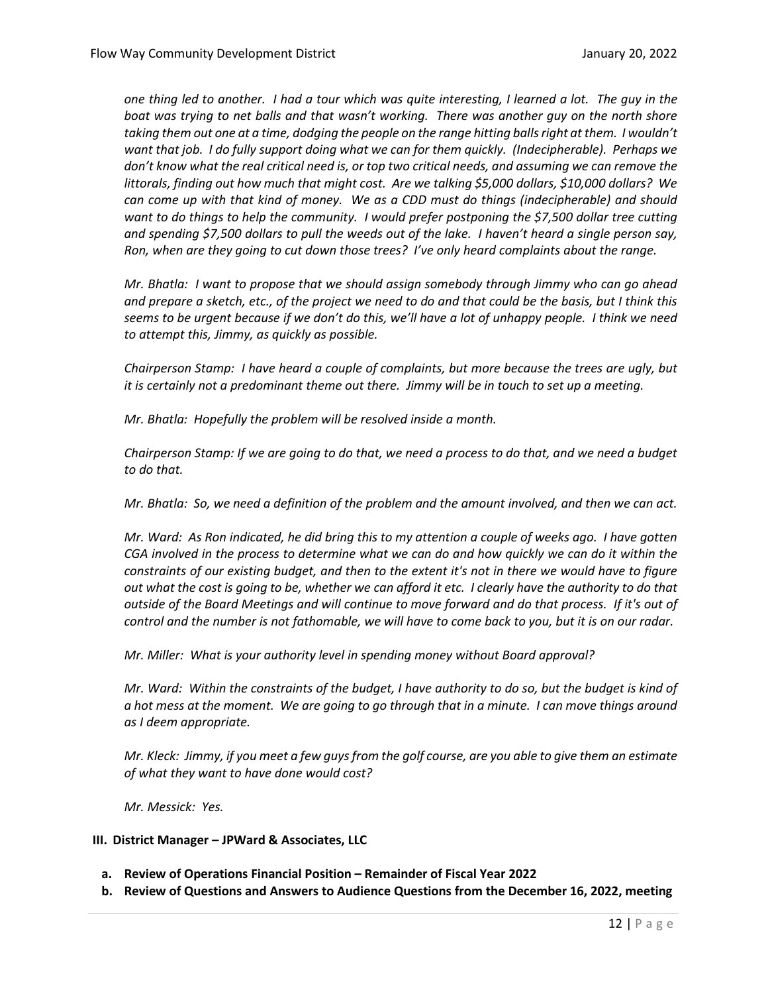*one thing led to another. I had a tour which was quite interesting, I learned a lot. The guy in the boat was trying to net balls and that wasn't working. There was another guy on the north shore taking them out one at a time, dodging the people on the range hitting balls right at them. I wouldn't want that job. I do fully support doing what we can for them quickly. (Indecipherable). Perhaps we don't know what the real critical need is, or top two critical needs, and assuming we can remove the littorals, finding out how much that might cost. Are we talking \$5,000 dollars, \$10,000 dollars? We can come up with that kind of money. We as a CDD must do things (indecipherable) and should want to do things to help the community. I would prefer postponing the \$7,500 dollar tree cutting and spending \$7,500 dollars to pull the weeds out of the lake. I haven't heard a single person say, Ron, when are they going to cut down those trees? I've only heard complaints about the range.*

*Mr. Bhatla: I want to propose that we should assign somebody through Jimmy who can go ahead and prepare a sketch, etc., of the project we need to do and that could be the basis, but I think this seems to be urgent because if we don't do this, we'll have a lot of unhappy people. I think we need to attempt this, Jimmy, as quickly as possible.* 

*Chairperson Stamp: I have heard a couple of complaints, but more because the trees are ugly, but it is certainly not a predominant theme out there. Jimmy will be in touch to set up a meeting.* 

*Mr. Bhatla: Hopefully the problem will be resolved inside a month.*

*Chairperson Stamp: If we are going to do that, we need a process to do that, and we need a budget to do that.*

*Mr. Bhatla: So, we need a definition of the problem and the amount involved, and then we can act.*

*Mr. Ward: As Ron indicated, he did bring this to my attention a couple of weeks ago. I have gotten CGA involved in the process to determine what we can do and how quickly we can do it within the constraints of our existing budget, and then to the extent it's not in there we would have to figure out what the cost is going to be, whether we can afford it etc. I clearly have the authority to do that outside of the Board Meetings and will continue to move forward and do that process. If it's out of control and the number is not fathomable, we will have to come back to you, but it is on our radar.* 

*Mr. Miller: What is your authority level in spending money without Board approval?*

*Mr. Ward: Within the constraints of the budget, I have authority to do so, but the budget is kind of a hot mess at the moment. We are going to go through that in a minute. I can move things around as I deem appropriate.* 

*Mr. Kleck: Jimmy, if you meet a few guys from the golf course, are you able to give them an estimate of what they want to have done would cost?*

*Mr. Messick: Yes.*

#### **III. District Manager – JPWard & Associates, LLC**

- **a. Review of Operations Financial Position – Remainder of Fiscal Year 2022**
- **b. Review of Questions and Answers to Audience Questions from the December 16, 2022, meeting**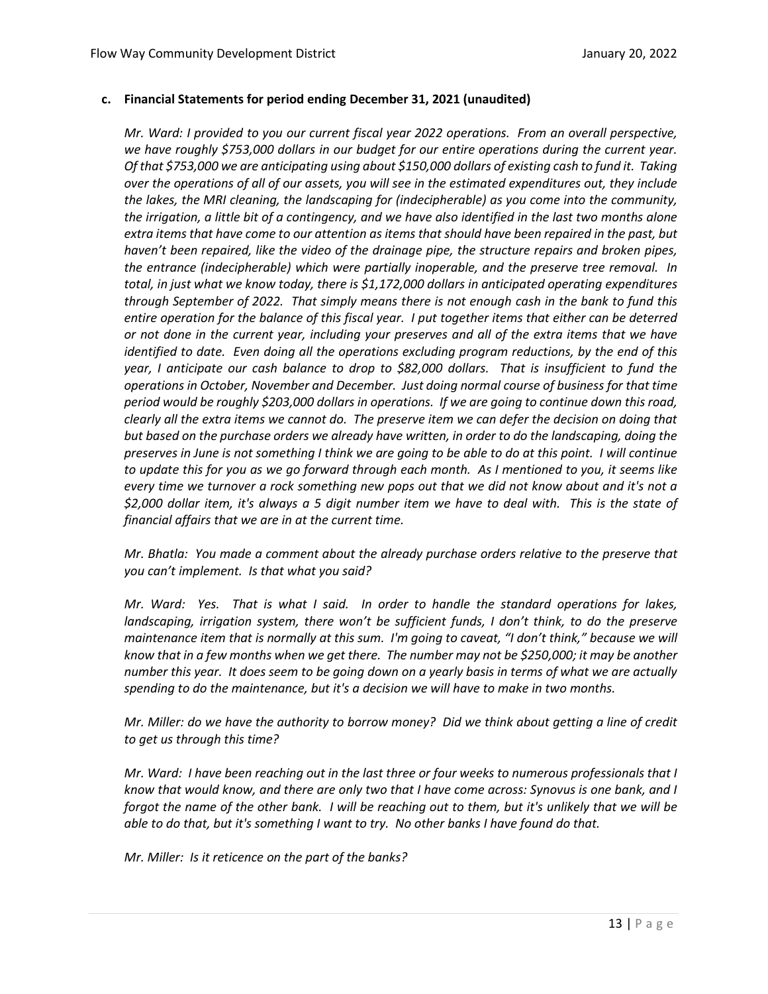### **c. Financial Statements for period ending December 31, 2021 (unaudited)**

*Mr. Ward: I provided to you our current fiscal year 2022 operations. From an overall perspective, we have roughly \$753,000 dollars in our budget for our entire operations during the current year. Of that \$753,000 we are anticipating using about \$150,000 dollars of existing cash to fund it. Taking over the operations of all of our assets, you will see in the estimated expenditures out, they include the lakes, the MRI cleaning, the landscaping for (indecipherable) as you come into the community, the irrigation, a little bit of a contingency, and we have also identified in the last two months alone extra items that have come to our attention as items that should have been repaired in the past, but haven't been repaired, like the video of the drainage pipe, the structure repairs and broken pipes, the entrance (indecipherable) which were partially inoperable, and the preserve tree removal. In total, in just what we know today, there is \$1,172,000 dollars in anticipated operating expenditures through September of 2022. That simply means there is not enough cash in the bank to fund this entire operation for the balance of this fiscal year. I put together items that either can be deterred or not done in the current year, including your preserves and all of the extra items that we have identified to date. Even doing all the operations excluding program reductions, by the end of this year, I anticipate our cash balance to drop to \$82,000 dollars. That is insufficient to fund the operations in October, November and December. Just doing normal course of business for that time period would be roughly \$203,000 dollars in operations. If we are going to continue down this road, clearly all the extra items we cannot do. The preserve item we can defer the decision on doing that but based on the purchase orders we already have written, in order to do the landscaping, doing the preserves in June is not something I think we are going to be able to do at this point. I will continue to update this for you as we go forward through each month. As I mentioned to you, it seems like every time we turnover a rock something new pops out that we did not know about and it's not a \$2,000 dollar item, it's always a 5 digit number item we have to deal with. This is the state of financial affairs that we are in at the current time.* 

*Mr. Bhatla: You made a comment about the already purchase orders relative to the preserve that you can't implement. Is that what you said?*

*Mr. Ward: Yes. That is what I said. In order to handle the standard operations for lakes, landscaping, irrigation system, there won't be sufficient funds, I don't think, to do the preserve maintenance item that is normally at this sum. I'm going to caveat, "I don't think," because we will know that in a few months when we get there. The number may not be \$250,000; it may be another number this year. It does seem to be going down on a yearly basis in terms of what we are actually spending to do the maintenance, but it's a decision we will have to make in two months.* 

*Mr. Miller: do we have the authority to borrow money? Did we think about getting a line of credit to get us through this time?*

*Mr. Ward: I have been reaching out in the last three or four weeks to numerous professionals that I know that would know, and there are only two that I have come across: Synovus is one bank, and I forgot the name of the other bank. I will be reaching out to them, but it's unlikely that we will be able to do that, but it's something I want to try. No other banks I have found do that.* 

*Mr. Miller: Is it reticence on the part of the banks?*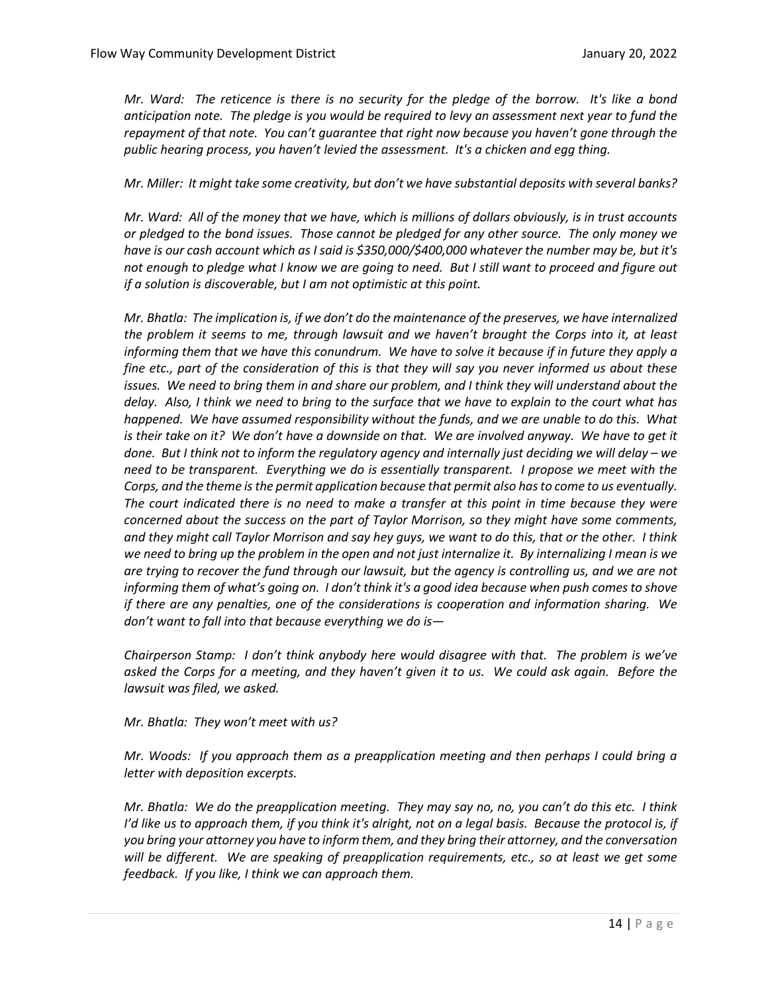*Mr. Ward: The reticence is there is no security for the pledge of the borrow. It's like a bond anticipation note. The pledge is you would be required to levy an assessment next year to fund the repayment of that note. You can't guarantee that right now because you haven't gone through the public hearing process, you haven't levied the assessment. It's a chicken and egg thing.* 

*Mr. Miller: It might take some creativity, but don't we have substantial deposits with several banks?*

*Mr. Ward: All of the money that we have, which is millions of dollars obviously, is in trust accounts or pledged to the bond issues. Those cannot be pledged for any other source. The only money we have is our cash account which as I said is \$350,000/\$400,000 whatever the number may be, but it's not enough to pledge what I know we are going to need. But I still want to proceed and figure out if a solution is discoverable, but I am not optimistic at this point.* 

*Mr. Bhatla: The implication is, if we don't do the maintenance of the preserves, we have internalized the problem it seems to me, through lawsuit and we haven't brought the Corps into it, at least informing them that we have this conundrum. We have to solve it because if in future they apply a fine etc., part of the consideration of this is that they will say you never informed us about these issues. We need to bring them in and share our problem, and I think they will understand about the delay. Also, I think we need to bring to the surface that we have to explain to the court what has happened. We have assumed responsibility without the funds, and we are unable to do this. What is their take on it? We don't have a downside on that. We are involved anyway. We have to get it done. But I think not to inform the regulatory agency and internally just deciding we will delay – we need to be transparent. Everything we do is essentially transparent. I propose we meet with the Corps, and the theme is the permit application because that permit also has to come to us eventually. The court indicated there is no need to make a transfer at this point in time because they were concerned about the success on the part of Taylor Morrison, so they might have some comments, and they might call Taylor Morrison and say hey guys, we want to do this, that or the other. I think we need to bring up the problem in the open and not just internalize it. By internalizing I mean is we are trying to recover the fund through our lawsuit, but the agency is controlling us, and we are not informing them of what's going on. I don't think it's a good idea because when push comes to shove if there are any penalties, one of the considerations is cooperation and information sharing. We don't want to fall into that because everything we do is—*

*Chairperson Stamp: I don't think anybody here would disagree with that. The problem is we've asked the Corps for a meeting, and they haven't given it to us. We could ask again. Before the lawsuit was filed, we asked.* 

*Mr. Bhatla: They won't meet with us?*

*Mr. Woods: If you approach them as a preapplication meeting and then perhaps I could bring a letter with deposition excerpts.* 

*Mr. Bhatla: We do the preapplication meeting. They may say no, no, you can't do this etc. I think I'd like us to approach them, if you think it's alright, not on a legal basis. Because the protocol is, if you bring your attorney you have to inform them, and they bring their attorney, and the conversation will be different. We are speaking of preapplication requirements, etc., so at least we get some feedback. If you like, I think we can approach them.*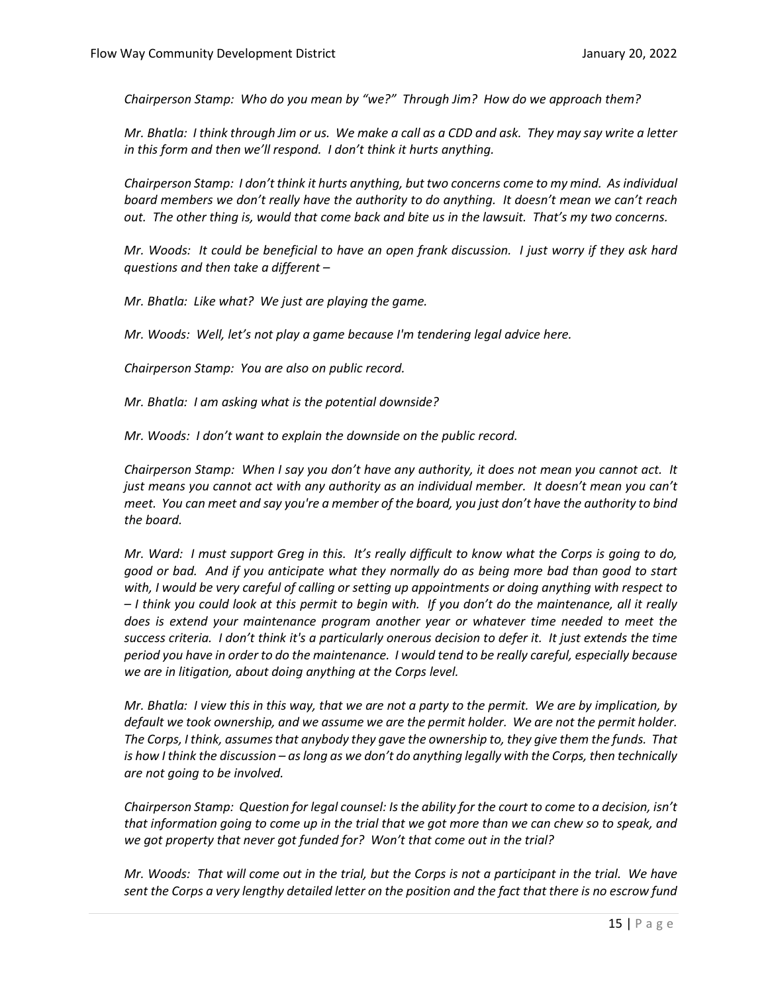*Chairperson Stamp: Who do you mean by "we?" Through Jim? How do we approach them?*

*Mr. Bhatla: I think through Jim or us. We make a call as a CDD and ask. They may say write a letter in this form and then we'll respond. I don't think it hurts anything.* 

*Chairperson Stamp: I don't think it hurts anything, but two concerns come to my mind. As individual board members we don't really have the authority to do anything. It doesn't mean we can't reach out. The other thing is, would that come back and bite us in the lawsuit. That's my two concerns.* 

*Mr. Woods: It could be beneficial to have an open frank discussion. I just worry if they ask hard questions and then take a different –*

*Mr. Bhatla: Like what? We just are playing the game.*

*Mr. Woods: Well, let's not play a game because I'm tendering legal advice here.*

*Chairperson Stamp: You are also on public record.* 

*Mr. Bhatla: I am asking what is the potential downside?*

*Mr. Woods: I don't want to explain the downside on the public record.* 

*Chairperson Stamp: When I say you don't have any authority, it does not mean you cannot act. It just means you cannot act with any authority as an individual member. It doesn't mean you can't meet. You can meet and say you're a member of the board, you just don't have the authority to bind the board.* 

*Mr. Ward: I must support Greg in this. It's really difficult to know what the Corps is going to do, good or bad. And if you anticipate what they normally do as being more bad than good to start with, I would be very careful of calling or setting up appointments or doing anything with respect to – I think you could look at this permit to begin with. If you don't do the maintenance, all it really does is extend your maintenance program another year or whatever time needed to meet the success criteria. I don't think it's a particularly onerous decision to defer it. It just extends the time period you have in order to do the maintenance. I would tend to be really careful, especially because we are in litigation, about doing anything at the Corps level.* 

*Mr. Bhatla: I view this in this way, that we are not a party to the permit. We are by implication, by default we took ownership, and we assume we are the permit holder. We are not the permit holder. The Corps, I think, assumes that anybody they gave the ownership to, they give them the funds. That is how I think the discussion – as long as we don't do anything legally with the Corps, then technically are not going to be involved.* 

*Chairperson Stamp: Question for legal counsel: Is the ability for the court to come to a decision, isn't that information going to come up in the trial that we got more than we can chew so to speak, and we got property that never got funded for? Won't that come out in the trial?*

*Mr. Woods: That will come out in the trial, but the Corps is not a participant in the trial. We have sent the Corps a very lengthy detailed letter on the position and the fact that there is no escrow fund*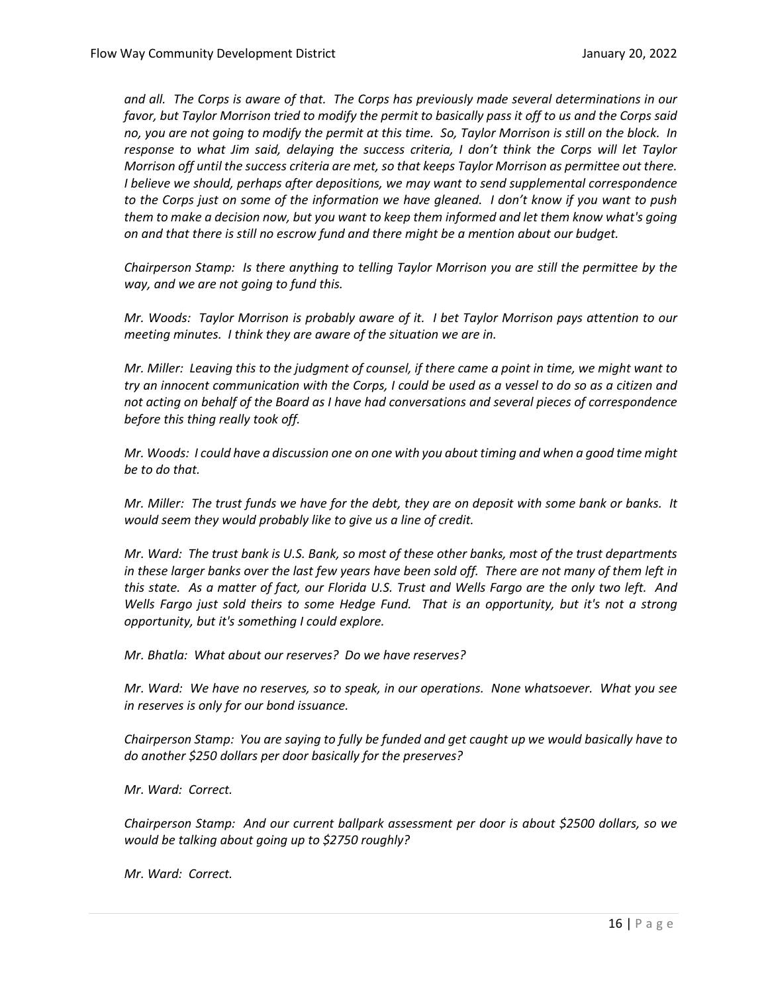*and all. The Corps is aware of that. The Corps has previously made several determinations in our favor, but Taylor Morrison tried to modify the permit to basically pass it off to us and the Corps said no, you are not going to modify the permit at this time. So, Taylor Morrison is still on the block. In response to what Jim said, delaying the success criteria, I don't think the Corps will let Taylor Morrison off until the success criteria are met, so that keeps Taylor Morrison as permittee out there. I believe we should, perhaps after depositions, we may want to send supplemental correspondence to the Corps just on some of the information we have gleaned. I don't know if you want to push them to make a decision now, but you want to keep them informed and let them know what's going on and that there is still no escrow fund and there might be a mention about our budget.* 

*Chairperson Stamp: Is there anything to telling Taylor Morrison you are still the permittee by the way, and we are not going to fund this.* 

*Mr. Woods: Taylor Morrison is probably aware of it. I bet Taylor Morrison pays attention to our meeting minutes. I think they are aware of the situation we are in.* 

*Mr. Miller: Leaving this to the judgment of counsel, if there came a point in time, we might want to try an innocent communication with the Corps, I could be used as a vessel to do so as a citizen and not acting on behalf of the Board as I have had conversations and several pieces of correspondence before this thing really took off.* 

*Mr. Woods: I could have a discussion one on one with you about timing and when a good time might be to do that.* 

*Mr. Miller: The trust funds we have for the debt, they are on deposit with some bank or banks. It would seem they would probably like to give us a line of credit.* 

*Mr. Ward: The trust bank is U.S. Bank, so most of these other banks, most of the trust departments in these larger banks over the last few years have been sold off. There are not many of them left in this state. As a matter of fact, our Florida U.S. Trust and Wells Fargo are the only two left. And Wells Fargo just sold theirs to some Hedge Fund. That is an opportunity, but it's not a strong opportunity, but it's something I could explore.* 

*Mr. Bhatla: What about our reserves? Do we have reserves?*

*Mr. Ward: We have no reserves, so to speak, in our operations. None whatsoever. What you see in reserves is only for our bond issuance.* 

*Chairperson Stamp: You are saying to fully be funded and get caught up we would basically have to do another \$250 dollars per door basically for the preserves?* 

*Mr. Ward: Correct.*

*Chairperson Stamp: And our current ballpark assessment per door is about \$2500 dollars, so we would be talking about going up to \$2750 roughly?*

*Mr. Ward: Correct.*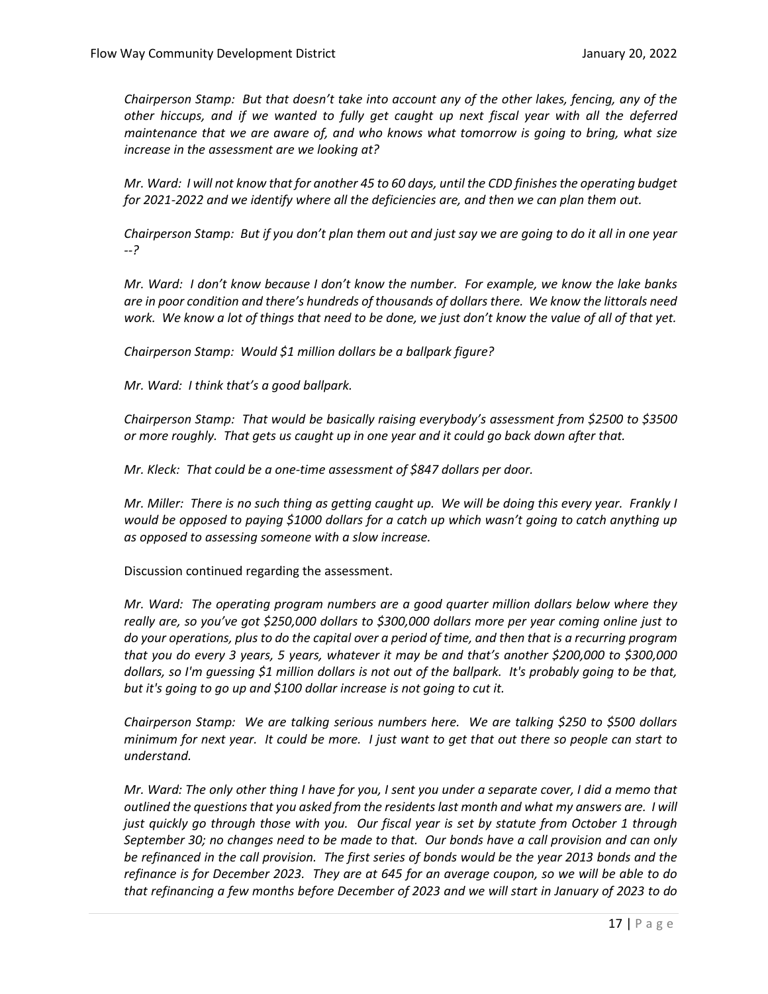*Chairperson Stamp: But that doesn't take into account any of the other lakes, fencing, any of the other hiccups, and if we wanted to fully get caught up next fiscal year with all the deferred maintenance that we are aware of, and who knows what tomorrow is going to bring, what size increase in the assessment are we looking at?*

*Mr. Ward: I will not know that for another 45 to 60 days, until the CDD finishes the operating budget for 2021-2022 and we identify where all the deficiencies are, and then we can plan them out.* 

*Chairperson Stamp: But if you don't plan them out and just say we are going to do it all in one year --?*

*Mr. Ward: I don't know because I don't know the number. For example, we know the lake banks are in poor condition and there's hundreds of thousands of dollars there. We know the littorals need work. We know a lot of things that need to be done, we just don't know the value of all of that yet.* 

*Chairperson Stamp: Would \$1 million dollars be a ballpark figure?*

*Mr. Ward: I think that's a good ballpark.* 

*Chairperson Stamp: That would be basically raising everybody's assessment from \$2500 to \$3500 or more roughly. That gets us caught up in one year and it could go back down after that.* 

*Mr. Kleck: That could be a one-time assessment of \$847 dollars per door.* 

*Mr. Miller: There is no such thing as getting caught up. We will be doing this every year. Frankly I would be opposed to paying \$1000 dollars for a catch up which wasn't going to catch anything up as opposed to assessing someone with a slow increase.* 

Discussion continued regarding the assessment.

*Mr. Ward: The operating program numbers are a good quarter million dollars below where they really are, so you've got \$250,000 dollars to \$300,000 dollars more per year coming online just to do your operations, plus to do the capital over a period of time, and then that is a recurring program that you do every 3 years, 5 years, whatever it may be and that's another \$200,000 to \$300,000 dollars, so I'm guessing \$1 million dollars is not out of the ballpark. It's probably going to be that, but it's going to go up and \$100 dollar increase is not going to cut it.* 

*Chairperson Stamp: We are talking serious numbers here. We are talking \$250 to \$500 dollars minimum for next year. It could be more. I just want to get that out there so people can start to understand.* 

*Mr. Ward: The only other thing I have for you, I sent you under a separate cover, I did a memo that outlined the questionsthat you asked from the residents last month and what my answers are. I will just quickly go through those with you. Our fiscal year is set by statute from October 1 through September 30; no changes need to be made to that. Our bonds have a call provision and can only be refinanced in the call provision. The first series of bonds would be the year 2013 bonds and the refinance is for December 2023. They are at 645 for an average coupon, so we will be able to do that refinancing a few months before December of 2023 and we will start in January of 2023 to do*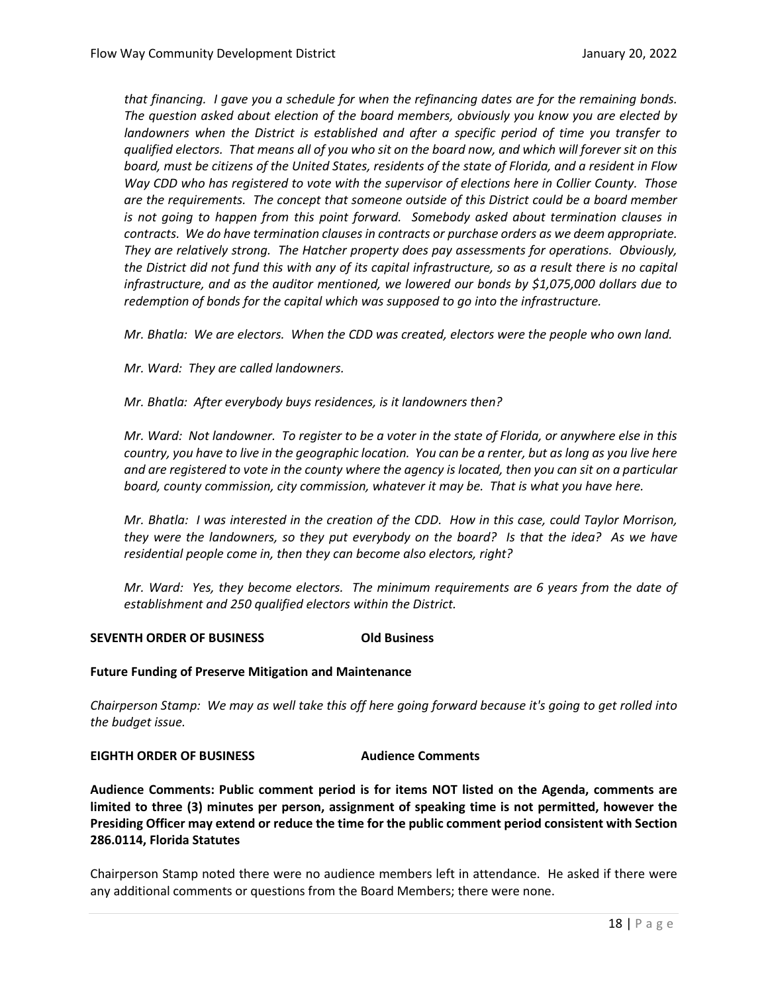*that financing. I gave you a schedule for when the refinancing dates are for the remaining bonds. The question asked about election of the board members, obviously you know you are elected by landowners when the District is established and after a specific period of time you transfer to qualified electors. That means all of you who sit on the board now, and which will forever sit on this board, must be citizens of the United States, residents of the state of Florida, and a resident in Flow Way CDD who has registered to vote with the supervisor of elections here in Collier County. Those are the requirements. The concept that someone outside of this District could be a board member is not going to happen from this point forward. Somebody asked about termination clauses in contracts. We do have termination clauses in contracts or purchase orders as we deem appropriate. They are relatively strong. The Hatcher property does pay assessments for operations. Obviously, the District did not fund this with any of its capital infrastructure, so as a result there is no capital infrastructure, and as the auditor mentioned, we lowered our bonds by \$1,075,000 dollars due to redemption of bonds for the capital which was supposed to go into the infrastructure.* 

*Mr. Bhatla: We are electors. When the CDD was created, electors were the people who own land.*

*Mr. Ward: They are called landowners.* 

*Mr. Bhatla: After everybody buys residences, is it landowners then?*

*Mr. Ward: Not landowner. To register to be a voter in the state of Florida, or anywhere else in this country, you have to live in the geographic location. You can be a renter, but as long as you live here and are registered to vote in the county where the agency is located, then you can sit on a particular board, county commission, city commission, whatever it may be. That is what you have here.* 

*Mr. Bhatla: I was interested in the creation of the CDD. How in this case, could Taylor Morrison, they were the landowners, so they put everybody on the board? Is that the idea? As we have residential people come in, then they can become also electors, right?*

*Mr. Ward: Yes, they become electors. The minimum requirements are 6 years from the date of establishment and 250 qualified electors within the District.* 

#### **SEVENTH ORDER OF BUSINESS Old Business**

#### **Future Funding of Preserve Mitigation and Maintenance**

*Chairperson Stamp: We may as well take this off here going forward because it's going to get rolled into the budget issue.* 

### **EIGHTH ORDER OF BUSINESS Audience Comments**

**Audience Comments: Public comment period is for items NOT listed on the Agenda, comments are limited to three (3) minutes per person, assignment of speaking time is not permitted, however the Presiding Officer may extend or reduce the time for the public comment period consistent with Section 286.0114, Florida Statutes**

Chairperson Stamp noted there were no audience members left in attendance. He asked if there were any additional comments or questions from the Board Members; there were none.